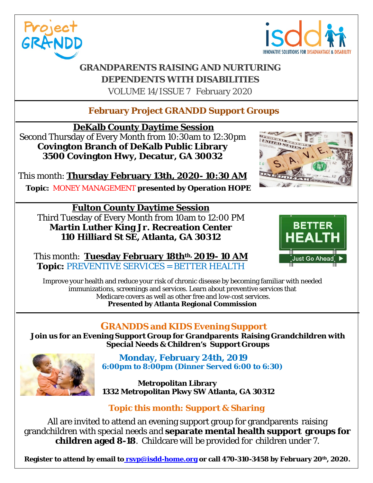



D STATES

### **GRANDPARENTS RAISING AND NURTURING DEPENDENTS WITH DISABILITIES** VOLUME 14/ISSUE 7 February 2020

#### **February Project GRANDD Support Groups**

**DeKalb County Daytime Session** Second Thursday of Every Month from 10:30am to 12:30pm

**Covington Branch of DeKalb Public Library 3500 Covington Hwy, Decatur, GA 30032**

This month: **Thursday February 13th, 2020- 10:30 AM**

 **Topic:** MONEY MANAGEMENT **presented by Operation HOPE**

**Fulton County Daytime Session** Third Tuesday of Every Month from 10am to 12:00 PM **Martin Luther King Jr. Recreation Center 110 Hilliard St SE, Atlanta, GA 30312**



This month: **Tuesday February 18thth, 2019- 10 AM Topic:** PREVENTIVE SERVICES = BETTER HEALTH

Improve your health and reduce your risk of chronic disease by becoming familiar with needed immunizations, screenings and services. Learn about preventive services that Medicare covers as well as other free and low-cost services. **Presented by Atlanta Regional Commission**

#### **GRANDDS and KIDS Evening Support**

**Join us for an Evening Support Group for Grandparents Raising Grandchildren with Special Needs & Children's Support Groups**



 **Monday, February 24th, 2019 6:00pm to 8:00pm (Dinner Served 6:00 to 6:30)**

 **Metropolitan Library 1332 Metropolitan Pkwy SW Atlanta, GA 30312**

**Topic this month: Support & Sharing**

All are invited to attend an evening support group for grandparents raising grandchildren with special needs and **separate mental health support groups for children aged 8-18**. Childcare will be provided for children under 7.

**Register to attend by email to rsvp@isdd-home.org or call 470-310-3458 by February 20th, 2020.**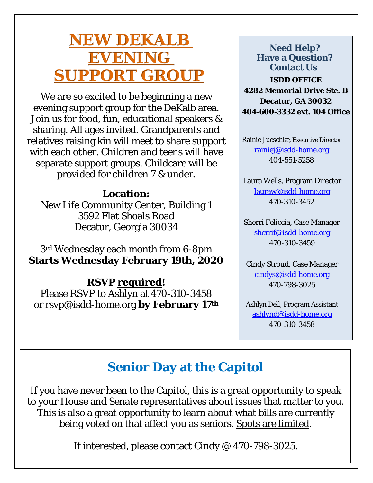# **NEW DEKALB EVENING SUPPORT GROUP**

We are so excited to be beginning a new evening support group for the DeKalb area. Join us for food, fun, educational speakers & sharing. All ages invited. Grandparents and relatives raising kin will meet to share support with each other. Children and teens will have separate support groups. Childcare will be provided for children 7 & under.

### **Location:**

New Life Community Center, Building 1 3592 Flat Shoals Road Decatur, Georgia 30034

3rd Wednesday each month from 6-8pm **Starts Wednesday February 19th, 2020**

### **RSVP required!**

Please RSVP to Ashlyn at 470-310-3458 or rsvp@isdd-home.org **by February 17th**

**ISDD OFFICE 4282 Memorial Drive Ste. B Decatur, GA 30032 404-600-3332 ext. 104 Office Need Help? Have a Question? Contact Us**

Rainie Jueschke, Executive Director [rainiej@isdd-home.org](mailto:rainiej@isdd-home.org) 404-551-5258

Laura Wells, Program Director [lauraw@isdd-home.org](mailto:lauraw@isdd-home.org) 470-310-3452

Sherri Feliccia, Case Manager [sherrif@isdd-home.org](mailto:sherrif@isdd-home.org) 470-310-3459

Cindy Stroud, Case Manager [cindys@isdd-home.org](mailto:cindys@isdd-home.org) 470-798-3025

Ashlyn Dell, Program Assistant [ashlynd@isdd-home.org](mailto:ashlynd@isdd-home.org) 470-310-3458

## **Senior Day at the Capitol**

If you have never been to the Capitol, this is a great opportunity to speak to your House and Senate representatives about issues that matter to you. This is also a great opportunity to learn about what bills are currently being voted on that affect you as seniors. Spots are limited.

If interested, please contact Cindy @ 470-798-3025.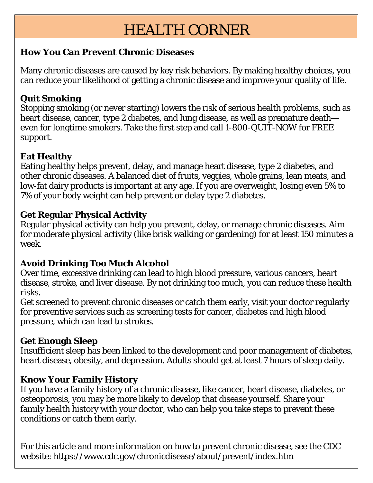# HEALTH CORNER

#### **How You Can Prevent Chronic Diseases**

Many chronic diseases are caused by key [risk behaviors.](about:blank#risks) By making healthy choices, you can reduce your likelihood of getting a [chronic disease](about:blank) and improve your quality of life.

#### **[Quit Smoking](about:blank)**

Stopping smoking (or never starting) lowers the risk of serious health problems, such as heart disease, cancer, type 2 diabetes, and lung disease, as well as premature death even for longtime smokers. Take the first step and call 1-800-QUIT-NOW for FREE support.

#### **[Eat Healthy](about:blank)**

Eating healthy helps prevent, delay, and manage heart disease, type 2 diabetes, and other chronic diseases. A balanced diet of fruits, veggies, whole grains, lean meats, and low-fat dairy products is important at any age. If you are overweight, losing even 5% to 7% of your body weight can help prevent or delay type 2 diabetes.

#### **[Get Regular Physical Activity](about:blank)**

Regular physical activity can help you prevent, delay, or manage chronic diseases. Aim for moderate physical activity (like brisk walking or gardening) for at least 150 minutes a week.

#### **[Avoid Drinking Too Much Alcohol](about:blank)**

Over time, excessive drinking can lead to high blood pressure, various cancers, heart disease, stroke, and liver disease. By not drinking too much, you can reduce these health risks.

Get screened to prevent chronic diseases or catch them early, visit your doctor regularly for preventive services such as screening tests for cancer, diabetes and high blood pressure, which can lead to strokes.

#### **[Get Enough Sleep](about:blank)**

Insufficient sleep has been linked to the development and poor management of diabetes, heart disease, obesity, and depression. Adults should get at least 7 hours of sleep daily.

#### **[Know Your Family History](about:blank)**

If you have a family history of a chronic disease, like cancer, heart disease, diabetes, or osteoporosis, you may be more likely to develop that disease yourself. Share your family health history with your doctor, who can help you take steps to prevent these conditions or catch them early.

For this article and more information on how to prevent chronic disease, see the CDC website: https://www.cdc.gov/chronicdisease/about/prevent/index.htm